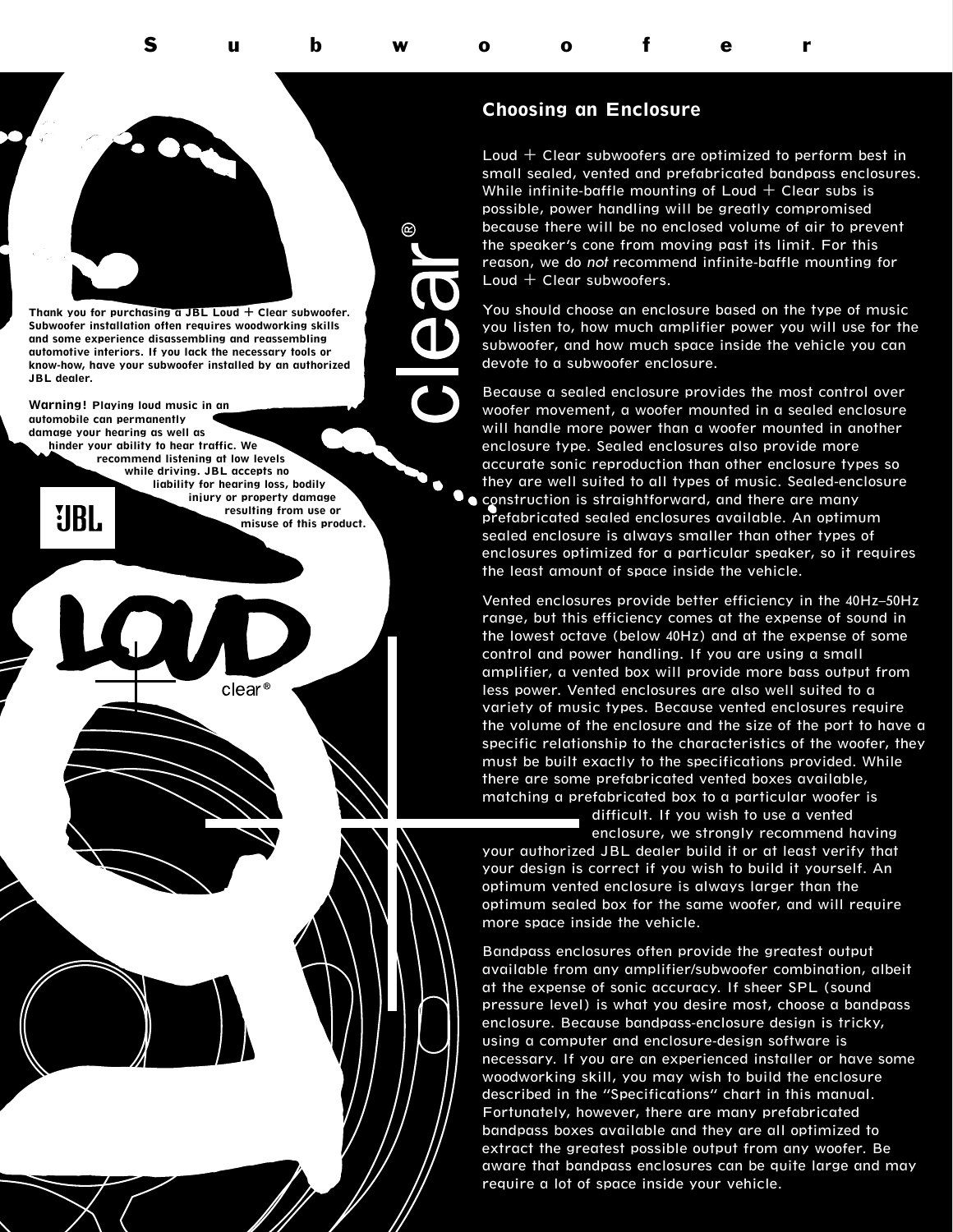## **Choosing an Enclosure**

Subwoofer

Loud  $+$  Clear subwoofers are optimized to perform best in small sealed, vented and prefabricated bandpass enclosures. While infinite-baffle mounting of Loud  $+$  Clear subs is possible, power handling will be greatly compromised because there will be no enclosed volume of air to prevent the speaker's cone from moving past its limit. For this reason, we do *not* recommend infinite-baffle mounting for Loud  $+$  Clear subwoofers.

You should choose an enclosure based on the type of music you listen to, how much amplifier power you will use for the subwoofer, and how much space inside the vehicle you can devote to a subwoofer enclosure.

Because a sealed enclosure provides the most control over woofer movement, a woofer mounted in a sealed enclosure will handle more power than a woofer mounted in another enclosure type. Sealed enclosures also provide more accurate sonic reproduction than other enclosure types so they are well suited to all types of music. Sealed-enclosure **construction is straightforward, and there are many** prefabricated sealed enclosures available. An optimum sealed enclosure is always smaller than other types of enclosures optimized for a particular speaker, so it requires the least amount of space inside the vehicle.

Vented enclosures provide better efficiency in the 40Hz–50Hz range, but this efficiency comes at the expense of sound in the lowest octave (below 40Hz) and at the expense of some control and power handling. If you are using a small amplifier, a vented box will provide more bass output from less power. Vented enclosures are also well suited to a variety of music types. Because vented enclosures require the volume of the enclosure and the size of the port to have a specific relationship to the characteristics of the woofer, they must be built exactly to the specifications provided. While there are some prefabricated vented boxes available, matching a prefabricated box to a particular woofer is

difficult. If you wish to use a vented enclosure, we strongly recommend having

your authorized JBL dealer build it or at least verify that your design is correct if you wish to build it yourself. An optimum vented enclosure is always larger than the optimum sealed box for the same woofer, and will require more space inside the vehicle.

Bandpass enclosures often provide the greatest output available from any amplifier/subwoofer combination, albeit at the expense of sonic accuracy. If sheer SPL (sound pressure level) is what you desire most, choose a bandpass enclosure. Because bandpass-enclosure design is tricky, using a computer and enclosure-design software is necessary. If you are an experienced installer or have some woodworking skill, you may wish to build the enclosure described in the "Specifications" chart in this manual. Fortunately, however, there are many prefabricated bandpass boxes available and they are all optimized to extract the greatest possible output from any woofer. Be aware that bandpass enclosures can be quite large and may require a lot of space inside your vehicle.

**Thank you for purchasing a JBL Loud + Clear subwoofer. Subwoofer installation often requires woodworking skills and some experience disassembling and reassembling automotive interiors. If you lack the necessary tools or know-how, have your subwoofer installed by an authorized JBL dealer.** 

**Warning! Playing loud music in an automobile can permanently damage your hearing as well as hinder your ability to hear traffic. We** 

IRI.

**recommend listening at low levels while driving. JBL accepts no liability for hearing loss, bodily injury or property damage resulting from use or misuse of this product.** 

clear<sup>®</sup>